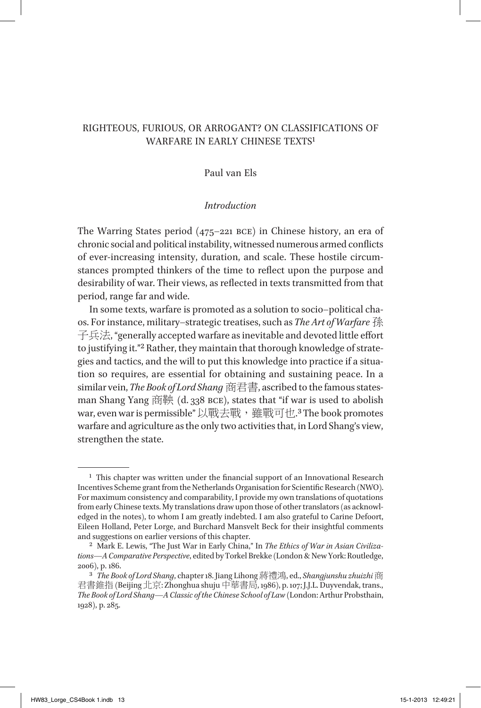# RIGHTEOUS, FURIOUS, OR ARROGANT? ON CLASSIFICATIONS OF WARFARE IN EARLY CHINESE TEXTS1

Paul van Els

### *Introduction*

The Warring States period (475–221 bce) in Chinese history, an era of chronic social and political instability, witnessed numerous armed conflicts of ever-increasing intensity, duration, and scale. These hostile circumstances prompted thinkers of the time to reflect upon the purpose and desirability of war. Their views, as reflected in texts transmitted from that period, range far and wide.

In some texts, warfare is promoted as a solution to socio–political chaos. For instance, military–strategic treatises, such as *The Art of Warfare* 孫 子兵法, "generally accepted warfare as inevitable and devoted little effort to justifying it."2 Rather, they maintain that thorough knowledge of strategies and tactics, and the will to put this knowledge into practice if a situation so requires, are essential for obtaining and sustaining peace. In a similar vein, *The Book of Lord Shang*商君書, ascribed to the famous statesman Shang Yang 商鞅 (d. 338 BCE), states that "if war is used to abolish war, even war is permissible" 以戰去戰, 雖戰可也.3 The book promotes warfare and agriculture as the only two activities that, in Lord Shang's view, strengthen the state.

<sup>&</sup>lt;sup>1</sup> This chapter was written under the financial support of an Innovational Research Incentives Scheme grant from the Netherlands Organisation for Scientific Research (NWO). For maximum consistency and comparability, I provide my own translations of quotations from early Chinese texts. My translations draw upon those of other translators (as acknowledged in the notes), to whom I am greatly indebted. I am also grateful to Carine Defoort, Eileen Holland, Peter Lorge, and Burchard Mansvelt Beck for their insightful comments and suggestions on earlier versions of this chapter.

<sup>2</sup> Mark E. Lewis, "The Just War in Early China," In *The Ethics of War in Asian Civilizations—A Comparative Perspective*, edited by Torkel Brekke (London & New York: Routledge, 2006), p. 186.

<sup>&</sup>lt;sup>3</sup> The Book of Lord Shang, chapter 18. Jiang Lihong 蔣禮鴻, ed., *Shangjunshu zhuizhi* 商 君書錐指 (Beijing 北京: Zhonghua shuju 中華書局, 1986), p. 107; J.J.L. Duyvendak, trans., *The Book of Lord Shang—A Classic of the Chinese School of Law* (London: Arthur Probsthain, 1928), p. 285.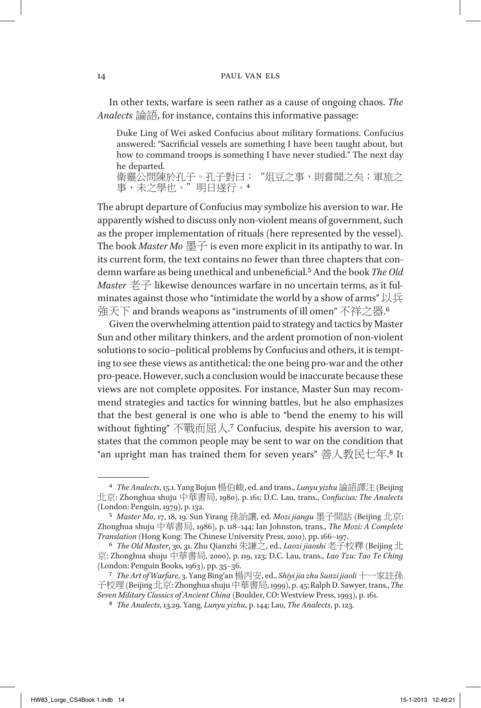In other texts, warfare is seen rather as a cause of ongoing chaos. *The*  Analects 論語, for instance, contains this informative passage:

Duke Ling of Wei asked Confucius about military formations. Confucius answered: "Sacrificial vessels are something I have been taught about, but how to command troops is something I have never studied." The next day he departed.

衛靈公問陳於孔子。孔子對曰:"俎豆之事,則嘗聞之矣;軍旅之 ḳ炻㛒ᷳ⬠ḇˤȿ㖶㖍忪埴ˤ4

The abrupt departure of Confucius may symbolize his aversion to war. He apparently wished to discuss only non-violent means of government, such as the proper implementation of rituals (here represented by the vessel). The book *Master Mo* 墨子 is even more explicit in its antipathy to war. In its current form, the text contains no fewer than three chapters that condemn warfare as being unethical and unbeneficial.5 And the book *The Old Master*  $\#$ <sup> $\mp$ </sup> likewise denounces warfare in no uncertain terms, as it fulminates against those who "intimidate the world by a show of arms"  $\mathcal{U}\mathcal{F}$ 強天下 and brands weapons as "instruments of ill omen" 不祥之器.6

Given the overwhelming attention paid to strategy and tactics by Master Sun and other military thinkers, and the ardent promotion of non-violent solutions to socio–political problems by Confucius and others, it is tempting to see these views as antithetical: the one being pro-war and the other pro-peace. However, such a conclusion would be inaccurate because these views are not complete opposites. For instance, Master Sun may recommend strategies and tactics for winning battles, but he also emphasizes that the best general is one who is able to "bend the enemy to his will without fighting" 不戰而屈人.7 Confucius, despite his aversion to war, states that the common people may be sent to war on the condition that "an upright man has trained them for seven years" 善人教民七年.8 It

<sup>&</sup>lt;sup>4</sup> *The Analects*, 15.1. Yang Bojun 楊伯峻, ed. and trans., *Lunyu yizhu* 論語譯注 (Beijing ⊿Ṕ: Zhonghua shuju ᷕ厗㚠⯨, 1980), p. 161; D.C. Lau, trans., *Confucius: The Analects* (London: Penguin, 1979), p. 132.

<sup>5</sup> *Master Mo*, 17, 18, 19. Sun Yirang 孫詒讓, ed. *Mozi jiangu* 墨子間詁 (Beijing 北京: Zhonghua shuju 中華書局, 1986), p. 118–144; Ian Johnston, trans., *The Mozi: A Complete Translation* (Hong Kong: The Chinese University Press, 2010), pp. 166–197.

<sup>6</sup> *The Old Master*, 30, 31. Zhu Qianzhi 朱謙之, ed., *Laozi jiaoshi* 老子校釋 (Beijing 北 Ṕ: Zhonghua shuju ᷕ厗㚠⯨, 2000), p. 119, 123; D.C. Lau, trans., *Lao Tzu: Tao Te Ching* (London: Penguin Books, 1963), pp. 35–36.

<sup>&</sup>lt;sup>7</sup> *The Art of Warfare,* 3. Yang Bing'an 楊丙安, ed., *Shiyi jia zhu Sunzi jiaoli* 十一家註孫 子校理 (Beijing 北京: Zhonghua shuju 中華書局, 1999), p. 45; Ralph D. Sawyer, trans., *The Seven Military Classics of Ancient China* (Boulder, CO: Westview Press, 1993), p. 161.

<sup>8</sup> *The Analects*, 13.29. Yang, *Lunyu yizhu*, p. 144; Lau, *The Analects*, p. 123.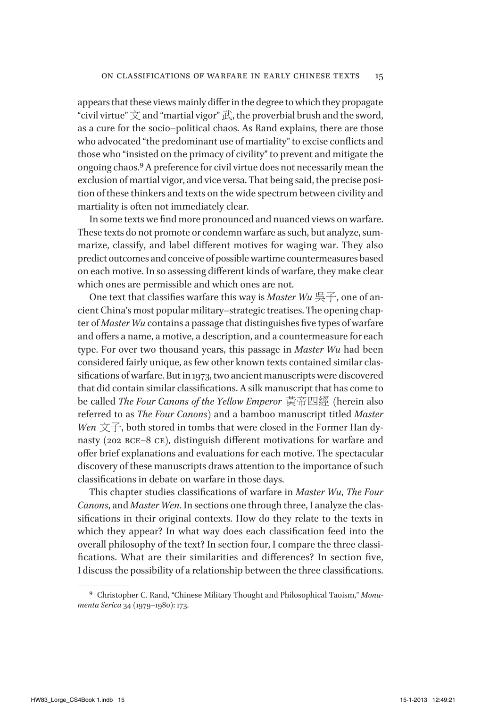appears that these views mainly differ in the degree to which they propagate "civil virtue"  $\overrightarrow{\mathcal{X}}$  and "martial vigor"  $\overrightarrow{\mathbb{E}}$ , the proverbial brush and the sword, as a cure for the socio–political chaos. As Rand explains, there are those who advocated "the predominant use of martiality" to excise conflicts and those who "insisted on the primacy of civility" to prevent and mitigate the ongoing chaos.9 A preference for civil virtue does not necessarily mean the exclusion of martial vigor, and vice versa. That being said, the precise position of these thinkers and texts on the wide spectrum between civility and martiality is often not immediately clear.

In some texts we find more pronounced and nuanced views on warfare. These texts do not promote or condemn warfare as such, but analyze, summarize, classify, and label different motives for waging war. They also predict outcomes and conceive of possible wartime countermeasures based on each motive. In so assessing different kinds of warfare, they make clear which ones are permissible and which ones are not.

One text that classifies warfare this way is *Master Wu*  $\forall x \in \mathcal{F}$ , one of ancient China's most popular military–strategic treatises. The opening chapter of *Master Wu* contains a passage that distinguishes five types of warfare and offers a name, a motive, a description, and a countermeasure for each type. For over two thousand years, this passage in *Master Wu* had been considered fairly unique, as few other known texts contained similar classifications of warfare. But in 1973, two ancient manuscripts were discovered that did contain similar classifications. A silk manuscript that has come to be called *The Four Canons of the Yellow Emperor* 貴帝四經 (herein also referred to as *The Four Canons*) and a bamboo manuscript titled *Master Wen* 文子, both stored in tombs that were closed in the Former Han dynasty (202 bce–8 ce), distinguish different motivations for warfare and offer brief explanations and evaluations for each motive. The spectacular discovery of these manuscripts draws attention to the importance of such classifications in debate on warfare in those days.

This chapter studies classifications of warfare in *Master Wu*, *The Four Canons*, and *Master Wen*. In sections one through three, I analyze the classifications in their original contexts. How do they relate to the texts in which they appear? In what way does each classification feed into the overall philosophy of the text? In section four, I compare the three classifications. What are their similarities and differences? In section five, I discuss the possibility of a relationship between the three classifications.

<sup>9</sup> Christopher C. Rand, "Chinese Military Thought and Philosophical Taoism," *Monumenta Serica* 34 (1979–1980): 173.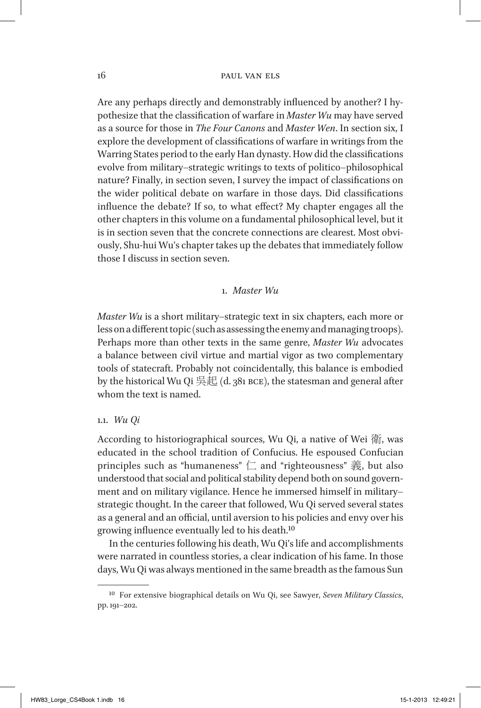Are any perhaps directly and demonstrably influenced by another? I hypothesize that the classification of warfare in *Master Wu* may have served as a source for those in *The Four Canons* and *Master Wen*. In section six, I explore the development of classifications of warfare in writings from the Warring States period to the early Han dynasty. How did the classifications evolve from military–strategic writings to texts of politico–philosophical nature? Finally, in section seven, I survey the impact of classifications on the wider political debate on warfare in those days. Did classifications influence the debate? If so, to what effect? My chapter engages all the other chapters in this volume on a fundamental philosophical level, but it is in section seven that the concrete connections are clearest. Most obviously, Shu-hui Wu's chapter takes up the debates that immediately follow those I discuss in section seven.

## 1. *Master Wu*

*Master Wu* is a short military–strategic text in six chapters, each more or less on a different topic (such as assessing the enemy and managing troops). Perhaps more than other texts in the same genre, *Master Wu* advocates a balance between civil virtue and martial vigor as two complementary tools of statecraft. Probably not coincidentally, this balance is embodied by the historical Wu Qi 吳起 (d. 381 все), the statesman and general after whom the text is named.

#### 1.1. *Wu Qi*

According to historiographical sources, Wu Qi, a native of Wei 衛, was educated in the school tradition of Confucius. He espoused Confucian principles such as "humaneness"  $\Box$  and "righteousness" 義, but also understood that social and political stability depend both on sound government and on military vigilance. Hence he immersed himself in military– strategic thought. In the career that followed, Wu Qi served several states as a general and an official, until aversion to his policies and envy over his growing influence eventually led to his death.10

In the centuries following his death, Wu Qi's life and accomplishments were narrated in countless stories, a clear indication of his fame. In those days, Wu Qi was always mentioned in the same breadth as the famous Sun

<sup>10</sup> For extensive biographical details on Wu Qi, see Sawyer, *Seven Military Classics*, pp. 191–202.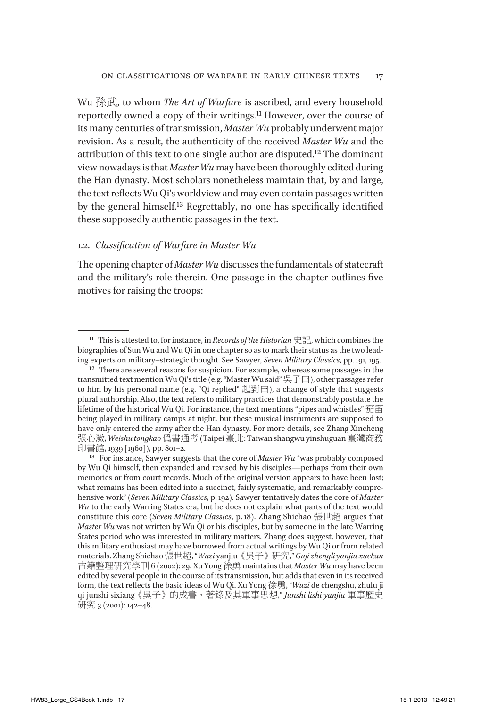Wu 孫武, to whom *The Art of Warfare* is ascribed, and every household reportedly owned a copy of their writings.11 However, over the course of its many centuries of transmission, *Master Wu* probably underwent major revision. As a result, the authenticity of the received *Master Wu* and the attribution of this text to one single author are disputed.12 The dominant view nowadays is that *Master Wu* may have been thoroughly edited during the Han dynasty. Most scholars nonetheless maintain that, by and large, the text reflects Wu Qi's worldview and may even contain passages written by the general himself.13 Regrettably, no one has specifically identified these supposedly authentic passages in the text.

## 1.2. *Classification of Warfare in Master Wu*

The opening chapter of *Master Wu* discusses the fundamentals of statecraft and the military's role therein. One passage in the chapter outlines five motives for raising the troops:

<sup>&</sup>lt;sup>11</sup> This is attested to, for instance, in *Records of the Historian* 史記, which combines the biographies of Sun Wu and Wu Qi in one chapter so as to mark their status as the two leading experts on military–strategic thought. See Sawyer, *Seven Military Classics*, pp. 191, 195.

<sup>12</sup> There are several reasons for suspicion. For example, whereas some passages in the transmitted text mention Wu Qi's title (e.g. "Master Wu said" 吴子曰), other passages refer to him by his personal name (e.g. "Qi replied" 起對曰), a change of style that suggests plural authorship. Also, the text refers to military practices that demonstrably postdate the lifetime of the historical Wu Qi. For instance, the text mentions "pipes and whistles" 笳笛 being played in military camps at night, but these musical instruments are supposed to have only entered the army after the Han dynasty. For more details, see Zhang Xincheng 張心澂, Weishu tongkao 僞書通考 (Taipei 臺北: Taiwan shangwu yinshuguan 臺灣商務 印書館, 1939 [1960]), pp. 801-2.

<sup>&</sup>lt;sup>13</sup> For instance, Sawyer suggests that the core of *Master Wu* "was probably composed by Wu Qi himself, then expanded and revised by his disciples—perhaps from their own memories or from court records. Much of the original version appears to have been lost; what remains has been edited into a succinct, fairly systematic, and remarkably comprehensive work" (*Seven Military Classics*, p. 192). Sawyer tentatively dates the core of *Master Wu* to the early Warring States era, but he does not explain what parts of the text would constitute this core (*Seven Military Classics*, p. 18). Zhang Shichao 張世超 argues that *Master Wu* was not written by Wu Qi or his disciples, but by someone in the late Warring States period who was interested in military matters. Zhang does suggest, however, that this military enthusiast may have borrowed from actual writings by Wu Qi or from related materials. Zhang Shichao ⻝ᶾ崭, "*Wuzi* yanjiu˪⏛⫸˫䞼䨞," *Guji zhengli yanjiu xuekan* ⎌䯵㔜䎮䞼䨞⬠↲ 6 (2002): 29. Xu Yong ⼸≯ maintains that *Master Wu* may have been edited by several people in the course of its transmission, but adds that even in its received form, the text reflects the basic ideas of Wu Qi. Xu Yong ⼸≯, "*Wuzi* de chengshu, zhulu ji qi junshi sixiang《吳子》的成書、著錄及其軍事思想," *Junshi lishi yanjiu* 軍事歷史 研究 3 (2001): 142-48.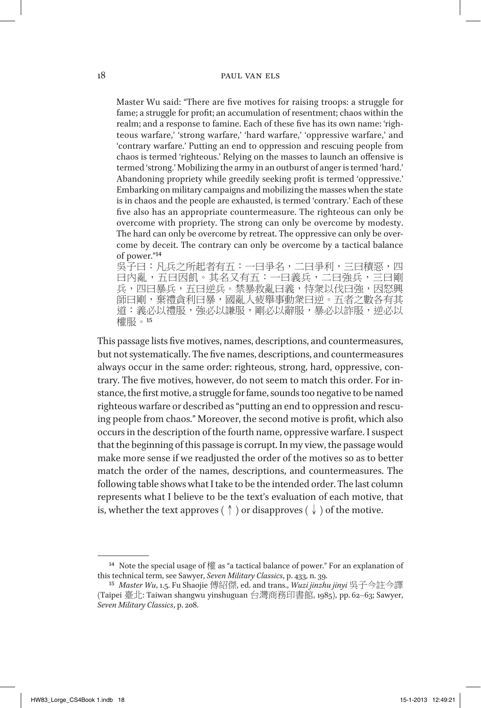Master Wu said: "There are five motives for raising troops: a struggle for fame; a struggle for profit; an accumulation of resentment; chaos within the realm; and a response to famine. Each of these five has its own name: 'righteous warfare,' 'strong warfare,' 'hard warfare,' 'oppressive warfare,' and 'contrary warfare.' Putting an end to oppression and rescuing people from chaos is termed 'righteous.' Relying on the masses to launch an offensive is termed 'strong.' Mobilizing the army in an outburst of anger is termed 'hard.' Abandoning propriety while greedily seeking profit is termed 'oppressive.' Embarking on military campaigns and mobilizing the masses when the state is in chaos and the people are exhausted, is termed 'contrary.' Each of these five also has an appropriate countermeasure. The righteous can only be overcome with propriety. The strong can only be overcome by modesty. The hard can only be overcome by retreat. The oppressive can only be overcome by deceit. The contrary can only be overcome by a tactical balance of power."14

吳孒曰:凡兵之所起者有五:一曰爭名,二曰爭利,三曰積惡,四 **曰內亂,五曰因飢。其名又有五:一曰義兵,二曰強兵,三曰剛** 兵,四曰暴兵,五曰逆兵。禁暴救亂曰義,恃衆以伐曰強,因怒興 <u>。</u><br>師曰剛,棄禮貪利曰暴,國亂人疲舉事動衆曰逆。五者之數各有其 道:義必以禮服,強必以謙服,剛必以辭服,暴必以詐服,逆必以 權服。15

This passage lists five motives, names, descriptions, and countermeasures, but not systematically. The five names, descriptions, and countermeasures always occur in the same order: righteous, strong, hard, oppressive, contrary. The five motives, however, do not seem to match this order. For instance, the first motive, a struggle for fame, sounds too negative to be named righteous warfare or described as "putting an end to oppression and rescuing people from chaos." Moreover, the second motive is profit, which also occurs in the description of the fourth name, oppressive warfare. I suspect that the beginning of this passage is corrupt. In my view, the passage would make more sense if we readjusted the order of the motives so as to better match the order of the names, descriptions, and countermeasures. The following table shows what I take to be the intended order. The last column represents what I believe to be the text's evaluation of each motive, that is, whether the text approves ( $\uparrow$ ) or disapproves ( $\downarrow$ ) of the motive.

<sup>&</sup>lt;sup>14</sup> Note the special usage of  $\frac{1}{4}$  as "a tactical balance of power." For an explanation of this technical term, see Sawyer, *Seven Military Classics*, p. 433, n. 39.

<sup>&</sup>lt;sup>15</sup> Master Wu, 1.5. Fu Shaojie 傅紹傑, ed. and trans., *Wuzi jinzhu jinyi* 吳子今註今譯 (Taipei 臺北: Taiwan shangwu yinshuguan 台灣商務印書館, 1985), pp. 62–63; Sawyer, *Seven Military Classics*, p. 208.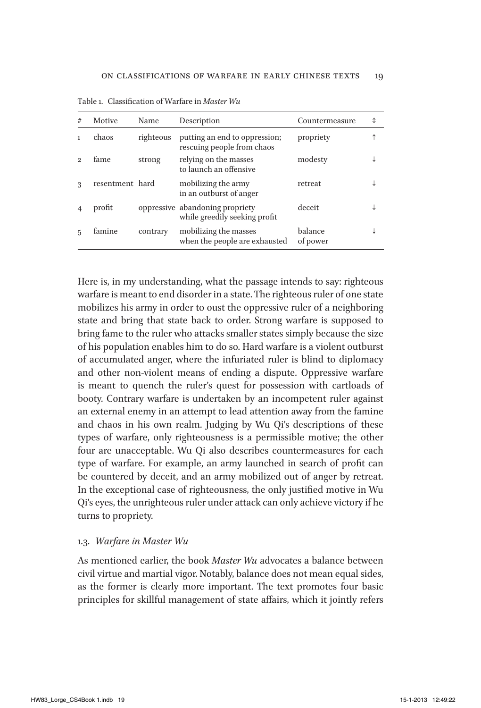| #             | Motive          | Name      | Description                                                      | Countermeasure      | ⇕ |
|---------------|-----------------|-----------|------------------------------------------------------------------|---------------------|---|
| ı             | chaos           | righteous | putting an end to oppression;<br>rescuing people from chaos      | propriety           |   |
| $\mathcal{D}$ | fame            | strong    | relying on the masses<br>to launch an offensive                  | modesty             |   |
| 3             | resentment hard |           | mobilizing the army<br>in an outburst of anger                   | retreat             |   |
|               | profit          |           | oppressive abandoning propriety<br>while greedily seeking profit | deceit              |   |
|               | famine          | contrary  | mobilizing the masses<br>when the people are exhausted           | balance<br>of power |   |

Table 1. Classification of Warfare in *Master Wu*

Here is, in my understanding, what the passage intends to say: righteous warfare is meant to end disorder in a state. The righteous ruler of one state mobilizes his army in order to oust the oppressive ruler of a neighboring state and bring that state back to order. Strong warfare is supposed to bring fame to the ruler who attacks smaller states simply because the size of his population enables him to do so. Hard warfare is a violent outburst of accumulated anger, where the infuriated ruler is blind to diplomacy and other non-violent means of ending a dispute. Oppressive warfare is meant to quench the ruler's quest for possession with cartloads of booty. Contrary warfare is undertaken by an incompetent ruler against an external enemy in an attempt to lead attention away from the famine and chaos in his own realm. Judging by Wu Qi's descriptions of these types of warfare, only righteousness is a permissible motive; the other four are unacceptable. Wu Qi also describes countermeasures for each type of warfare. For example, an army launched in search of profit can be countered by deceit, and an army mobilized out of anger by retreat. In the exceptional case of righteousness, the only justified motive in Wu Qi's eyes, the unrighteous ruler under attack can only achieve victory if he turns to propriety.

### 1.3. *Warfare in Master Wu*

As mentioned earlier, the book *Master Wu* advocates a balance between civil virtue and martial vigor. Notably, balance does not mean equal sides, as the former is clearly more important. The text promotes four basic principles for skillful management of state affairs, which it jointly refers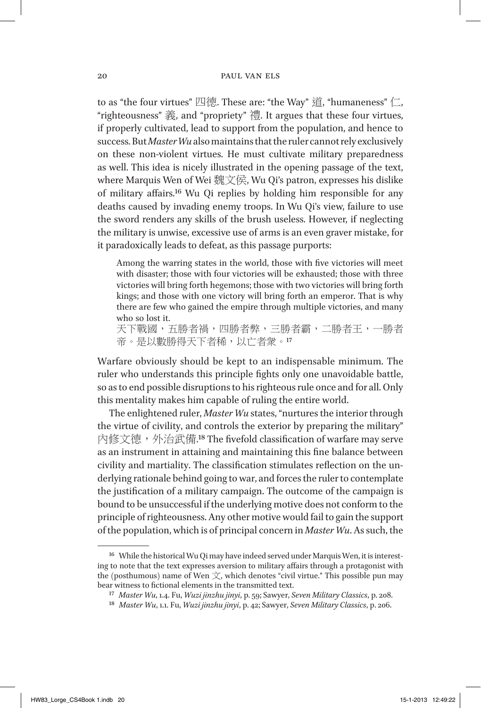to as "the four virtues"  $\mathbb{Z}/\mathbb{R}$ . These are: "the Way" 渞, "humaneness"  $\Box$ , "righteousness" 義, and "propriety" 禮. It argues that these four virtues, if properly cultivated, lead to support from the population, and hence to success. But *Master Wu* also maintains that the ruler cannot rely exclusively on these non-violent virtues. He must cultivate military preparedness as well. This idea is nicely illustrated in the opening passage of the text, where Marquis Wen of Wei 魏文侯, Wu Qi's patron, expresses his dislike of military affairs.16 Wu Qi replies by holding him responsible for any deaths caused by invading enemy troops. In Wu Qi's view, failure to use the sword renders any skills of the brush useless. However, if neglecting the military is unwise, excessive use of arms is an even graver mistake, for it paradoxically leads to defeat, as this passage purports:

Among the warring states in the world, those with five victories will meet with disaster; those with four victories will be exhausted; those with three victories will bring forth hegemons; those with two victories will bring forth kings; and those with one victory will bring forth an emperor. That is why there are few who gained the empire through multiple victories, and many who so lost it.

天下戰國,五勝者禍,四勝者弊,三勝者霸,二勝者王,一勝者 帝。是以數勝得天下者稀,以亡者衆。17

Warfare obviously should be kept to an indispensable minimum. The ruler who understands this principle fights only one unavoidable battle, so as to end possible disruptions to his righteous rule once and for all. Only this mentality makes him capable of ruling the entire world.

The enlightened ruler, *Master Wu* states, "nurtures the interior through the virtue of civility, and controls the exterior by preparing the military" 內修文德, 外治武備.<sup>18</sup> The fivefold classification of warfare may serve as an instrument in attaining and maintaining this fine balance between civility and martiality. The classification stimulates reflection on the underlying rationale behind going to war, and forces the ruler to contemplate the justification of a military campaign. The outcome of the campaign is bound to be unsuccessful if the underlying motive does not conform to the principle of righteousness. Any other motive would fail to gain the support of the population, which is of principal concern in *Master Wu*. As such, the

<sup>&</sup>lt;sup>16</sup> While the historical Wu Qi may have indeed served under Marquis Wen, it is interesting to note that the text expresses aversion to military affairs through a protagonist with the (posthumous) name of Wen  $\chi$ , which denotes "civil virtue." This possible pun may bear witness to fictional elements in the transmitted text.

<sup>17</sup> *Master Wu*, 1.4. Fu, *Wuzi jinzhu jinyi*, p. 59; Sawyer, *Seven Military Classics*, p. 208.

<sup>18</sup> *Master Wu*, 1.1. Fu, *Wuzi jinzhu jinyi*, p. 42; Sawyer, *Seven Military Classics*, p. 206.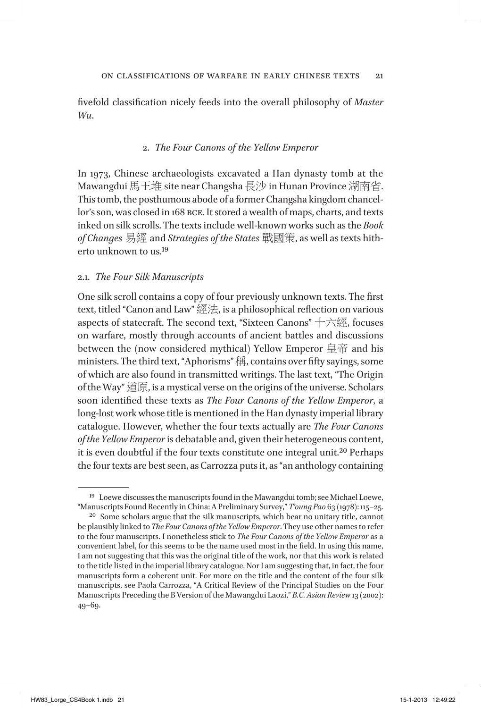fivefold classification nicely feeds into the overall philosophy of *Master Wu*.

#### 2. *The Four Canons of the Yellow Emperor*

In 1973, Chinese archaeologists excavated a Han dynasty tomb at the Mawangdui 馬王堆 site near Changsha 長沙 in Hunan Province 湖南省. This tomb, the posthumous abode of a former Changsha kingdom chancellor's son, was closed in 168 bce. It stored a wealth of maps, charts, and texts inked on silk scrolls. The texts include well-known works such as the *Book of Changes*ġ㖻䴻ġand *Strategies of the States*ġ㇘⚳䫾, as well as texts hitherto unknown to us.19

#### 2.1. *The Four Silk Manuscripts*

One silk scroll contains a copy of four previously unknown texts. The first text, titled "Canon and Law" 經法, is a philosophical reflection on various aspects of statecraft. The second text, "Sixteen Canons" 十六經, focuses on warfare, mostly through accounts of ancient battles and discussions between the (now considered mythical) Yellow Emperor 皇帝 and his ministers. The third text, "Aphorisms" 稱, contains over fifty sayings, some of which are also found in transmitted writings. The last text, "The Origin of the Way" 道原, is a mystical verse on the origins of the universe. Scholars soon identified these texts as *The Four Canons of the Yellow Emperor*, a long-lost work whose title is mentioned in the Han dynasty imperial library catalogue. However, whether the four texts actually are *The Four Canons of the Yellow Emperor* is debatable and, given their heterogeneous content, it is even doubtful if the four texts constitute one integral unit.<sup>20</sup> Perhaps the four texts are best seen, as Carrozza puts it, as "an anthology containing

<sup>&</sup>lt;sup>19</sup> Loewe discusses the manuscripts found in the Mawangdui tomb; see Michael Loewe, "Manuscripts Found Recently in China: A Preliminary Survey," *T'oung Pao* 63 (1978): 115–25.

<sup>20</sup> Some scholars argue that the silk manuscripts, which bear no unitary title, cannot be plausibly linked to *The Four Canons of the Yellow Emperor*. They use other names to refer to the four manuscripts. I nonetheless stick to *The Four Canons of the Yellow Emperor* as a convenient label, for this seems to be the name used most in the field. In using this name, I am not suggesting that this was the original title of the work, nor that this work is related to the title listed in the imperial library catalogue. Nor I am suggesting that, in fact, the four manuscripts form a coherent unit. For more on the title and the content of the four silk manuscripts, see Paola Carrozza, "A Critical Review of the Principal Studies on the Four Manuscripts Preceding the B Version of the Mawangdui Laozi," *B.C. Asian Review* 13 (2002): 49–69.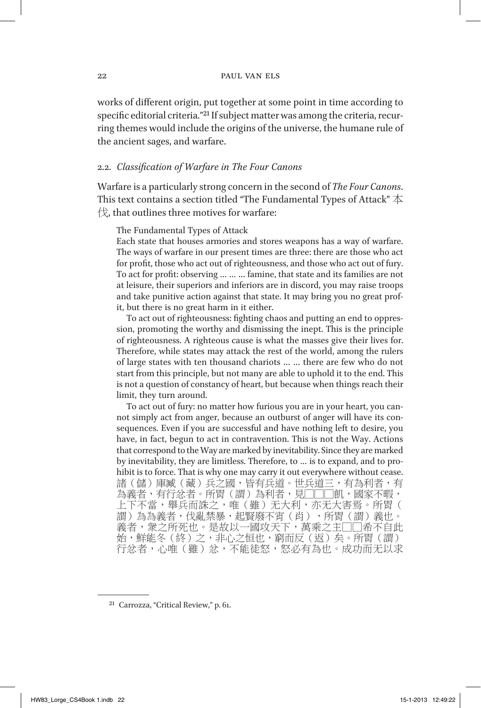works of different origin, put together at some point in time according to specific editorial criteria."21 If subject matter was among the criteria, recurring themes would include the origins of the universe, the humane rule of the ancient sages, and warfare.

## 2.2. *Classification of Warfare in The Four Canons*

Warfare is a particularly strong concern in the second of *The Four Canons*. This text contains a section titled "The Fundamental Types of Attack"  $\bar{\text{A}}$  $\forall$ , that outlines three motives for warfare:

The Fundamental Types of Attack

Each state that houses armories and stores weapons has a way of warfare. The ways of warfare in our present times are three: there are those who act for profit, those who act out of righteousness, and those who act out of fury. To act for profit: observing … … … famine, that state and its families are not at leisure, their superiors and inferiors are in discord, you may raise troops and take punitive action against that state. It may bring you no great profit, but there is no great harm in it either.

To act out of righteousness: fighting chaos and putting an end to oppression, promoting the worthy and dismissing the inept. This is the principle of righteousness. A righteous cause is what the masses give their lives for. Therefore, while states may attack the rest of the world, among the rulers of large states with ten thousand chariots … … there are few who do not start from this principle, but not many are able to uphold it to the end. This is not a question of constancy of heart, but because when things reach their limit, they turn around.

To act out of fury: no matter how furious you are in your heart, you cannot simply act from anger, because an outburst of anger will have its consequences. Even if you are successful and have nothing left to desire, you have, in fact, begun to act in contravention. This is not the Way. Actions that correspond to the Way are marked by inevitability. Since they are marked by inevitability, they are limitless. Therefore, to … is to expand, and to prohibit is to force. That is why one may carry it out everywhere without cease. 諸(儲)庫臧(藏)兵之國,皆有兵道。世兵道三,有為利者,有 為義者,有行忿者。所胃(謂)為利者,見□□□飢,國家不暇, 上下不當,舉兵而誅之,唯(雖)无大利,亦无大害焉。所胃( 謂)為為義者,伐亂禁暴,起賢廢不宵(肖),所胃(謂)義也。 義者,衆之所死也。是故以一國攻天下,萬乘之主□□希不自此 始, 鮮能冬(終)之, 非心之恒也, 窮而反(返)矣。所冑(謂) 行忿者,心唯(雖)忿,不能徒怒,怒必有為也。成功而无以求

<sup>21</sup> Carrozza, "Critical Review," p. 61.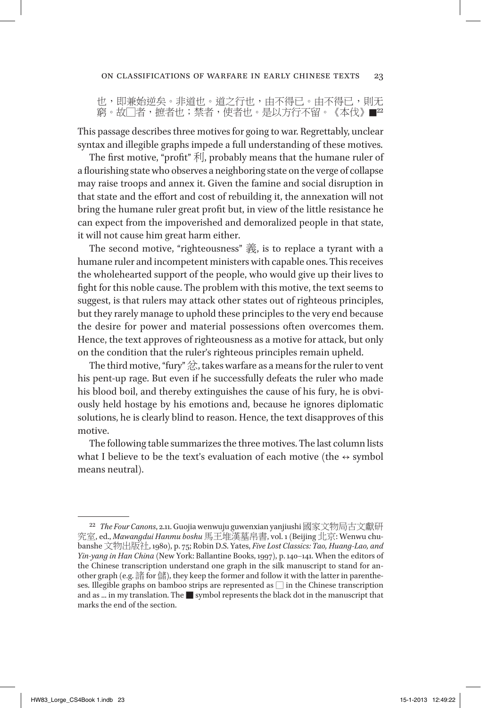# 也,即兼始逆矣。非道也。道之行也,由不得已。由不得已,則无 窮。故□者,摭者也;禁者,使者也。是以方行不留。《本伐》■22

This passage describes three motives for going to war. Regrettably, unclear syntax and illegible graphs impede a full understanding of these motives.

The first motive, "profit"  $\bar{x}$ ], probably means that the humane ruler of a flourishing state who observes a neighboring state on the verge of collapse may raise troops and annex it. Given the famine and social disruption in that state and the effort and cost of rebuilding it, the annexation will not bring the humane ruler great profit but, in view of the little resistance he can expect from the impoverished and demoralized people in that state, it will not cause him great harm either.

The second motive, "righteousness"  $\frac{2}{32}$ , is to replace a tyrant with a humane ruler and incompetent ministers with capable ones. This receives the wholehearted support of the people, who would give up their lives to fight for this noble cause. The problem with this motive, the text seems to suggest, is that rulers may attack other states out of righteous principles, but they rarely manage to uphold these principles to the very end because the desire for power and material possessions often overcomes them. Hence, the text approves of righteousness as a motive for attack, but only on the condition that the ruler's righteous principles remain upheld.

The third motive, "fury"  $\hat{\mathcal{D}}$ , takes warfare as a means for the ruler to vent his pent-up rage. But even if he successfully defeats the ruler who made his blood boil, and thereby extinguishes the cause of his fury, he is obviously held hostage by his emotions and, because he ignores diplomatic solutions, he is clearly blind to reason. Hence, the text disapproves of this motive.

The following table summarizes the three motives. The last column lists what I believe to be the text's evaluation of each motive (the  $\leftrightarrow$  symbol means neutral).

<sup>&</sup>lt;sup>22</sup> The Four Canons, 2.11. Guojia wenwuju guwenxian yanjiushi 國家文物局古文獻硏 究室, ed., *Mawangdui Hanmu boshu* 馬王堆漢墓帛書, vol. 1 (Beijing 北京: Wenwu chubanshe 文物出版社, 1980), p. 75; Robin D.S. Yates, *Five Lost Classics: Tao, Huang-Lao, and Yin-yang in Han China* (New York: Ballantine Books, 1997), p. 140–141. When the editors of the Chinese transcription understand one graph in the silk manuscript to stand for another graph (e.g. 諸 for 儲), they keep the former and follow it with the latter in parentheses. Illegible graphs on bamboo strips are represented as  $\square$  in the Chinese transcription and as ... in my translation. The symbol represents the black dot in the manuscript that marks the end of the section.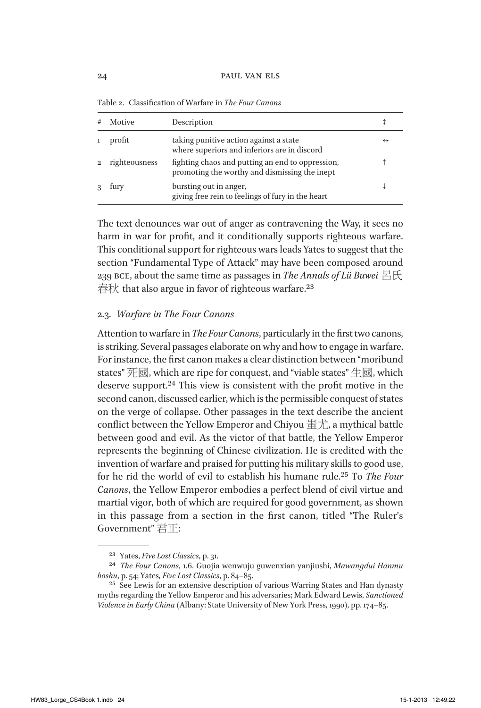|   | Motive        | Description                                                                                       |                   |
|---|---------------|---------------------------------------------------------------------------------------------------|-------------------|
|   | profit        | taking punitive action against a state<br>where superiors and inferiors are in discord            | $\leftrightarrow$ |
| 2 | righteousness | fighting chaos and putting an end to oppression,<br>promoting the worthy and dismissing the inept |                   |
|   | turv          | bursting out in anger,<br>giving free rein to feelings of fury in the heart                       |                   |

Table 2. Classification of Warfare in *The Four Canons*

The text denounces war out of anger as contravening the Way, it sees no harm in war for profit, and it conditionally supports righteous warfare. This conditional support for righteous wars leads Yates to suggest that the section "Fundamental Type of Attack" may have been composed around 239 BCE, about the same time as passages in *The Annals of Lü Buwei*  $\Xi \mathbb{K}$ 春秋 that also argue in favor of righteous warfare.<sup>23</sup>

## 2.3. *Warfare in The Four Canons*

Attention to warfare in *The Four Canons*, particularly in the first two canons, is striking. Several passages elaborate on why and how to engage in warfare. For instance, the first canon makes a clear distinction between "moribund states"  $\mathcal{F}\boxtimes$ , which are ripe for conquest, and "viable states"  $\pm \boxtimes$ , which deserve support.24 This view is consistent with the profit motive in the second canon, discussed earlier, which is the permissible conquest of states on the verge of collapse. Other passages in the text describe the ancient conflict between the Yellow Emperor and Chiyou  $\exists \vec{r}$ , a mythical battle between good and evil. As the victor of that battle, the Yellow Emperor represents the beginning of Chinese civilization. He is credited with the invention of warfare and praised for putting his military skills to good use, for he rid the world of evil to establish his humane rule.25 To *The Four Canons*, the Yellow Emperor embodies a perfect blend of civil virtue and martial vigor, both of which are required for good government, as shown in this passage from a section in the first canon, titled "The Ruler's Government"  $\overline{\text{H}}\overline{\text{H}}$ :

<sup>23</sup> Yates, *Five Lost Classics*, p. 31.

<sup>24</sup> *The Four Canons*, 1.6. Guojia wenwuju guwenxian yanjiushi, *Mawangdui Hanmu boshu*, p. 54; Yates, *Five Lost Classics*, p. 84–85.

<sup>&</sup>lt;sup>25</sup> See Lewis for an extensive description of various Warring States and Han dynasty myths regarding the Yellow Emperor and his adversaries; Mark Edward Lewis, *Sanctioned Violence in Early China* (Albany: State University of New York Press, 1990), pp. 174–85.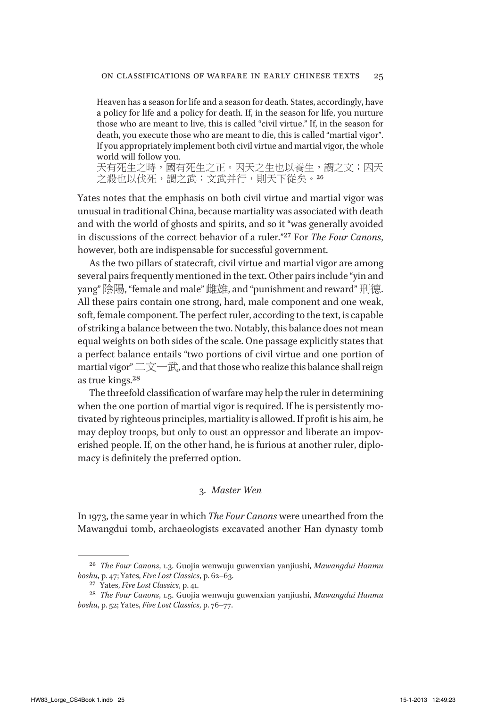Heaven has a season for life and a season for death. States, accordingly, have a policy for life and a policy for death. If, in the season for life, you nurture those who are meant to live, this is called "civil virtue." If, in the season for death, you execute those who are meant to die, this is called "martial vigor". If you appropriately implement both civil virtue and martial vigor, the whole world will follow you.

天有死生之時,國有死生之正。因天之生也以養生,謂之文;因天 之殺也以伐死,謂之武:文武并行,則天下從矣。26

Yates notes that the emphasis on both civil virtue and martial vigor was unusual in traditional China, because martiality was associated with death and with the world of ghosts and spirits, and so it "was generally avoided in discussions of the correct behavior of a ruler."27 For *The Four Canons*, however, both are indispensable for successful government.

As the two pillars of statecraft, civil virtue and martial vigor are among several pairs frequently mentioned in the text. Other pairs include "yin and yang" 陰陽, "female and male" 雌雄, and "punishment and reward" 刑德. All these pairs contain one strong, hard, male component and one weak, soft, female component. The perfect ruler, according to the text, is capable of striking a balance between the two. Notably, this balance does not mean equal weights on both sides of the scale. One passage explicitly states that a perfect balance entails "two portions of civil virtue and one portion of martial vigor"  $\vec{p} \pm \vec{p}$ , and that those who realize this balance shall reign as true kings.28

The threefold classification of warfare may help the ruler in determining when the one portion of martial vigor is required. If he is persistently motivated by righteous principles, martiality is allowed. If profit is his aim, he may deploy troops, but only to oust an oppressor and liberate an impoverished people. If, on the other hand, he is furious at another ruler, diplomacy is definitely the preferred option.

### 3. *Master Wen*

In 1973, the same year in which *The Four Canons* were unearthed from the Mawangdui tomb, archaeologists excavated another Han dynasty tomb

<sup>26</sup> *The Four Canons*, 1.3. Guojia wenwuju guwenxian yanjiushi, *Mawangdui Hanmu boshu*, p. 47; Yates, *Five Lost Classics*, p. 62–63.

<sup>27</sup> Yates, *Five Lost Classics*, p. 41.

<sup>28</sup> *The Four Canons*, 1.5. Guojia wenwuju guwenxian yanjiushi, *Mawangdui Hanmu boshu*, p. 52; Yates, *Five Lost Classics*, p. 76–77.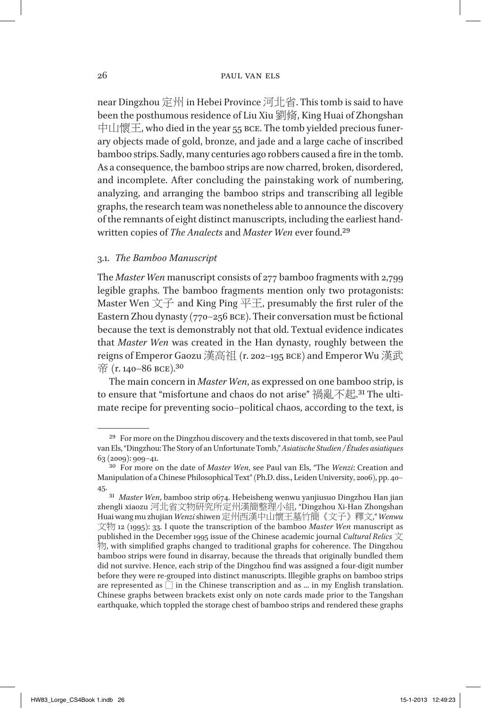near Dingzhou 定州 in Hebei Province 河北省. This tomb is said to have been the posthumous residence of Liu Xiu 劉脩, King Huai of Zhongshan 中山懷王, who died in the year 55 BCE. The tomb yielded precious funerary objects made of gold, bronze, and jade and a large cache of inscribed bamboo strips. Sadly, many centuries ago robbers caused a fire in the tomb. As a consequence, the bamboo strips are now charred, broken, disordered, and incomplete. After concluding the painstaking work of numbering, analyzing, and arranging the bamboo strips and transcribing all legible graphs, the research team was nonetheless able to announce the discovery of the remnants of eight distinct manuscripts, including the earliest handwritten copies of *The Analects* and *Master Wen* ever found.29

### 3.1. *The Bamboo Manuscript*

The *Master Wen* manuscript consists of 277 bamboo fragments with 2,799 legible graphs. The bamboo fragments mention only two protagonists: Master Wen  $\overline{\chi}$  and King Ping  $\overline{\Psi}$ , presumably the first ruler of the Eastern Zhou dynasty (770–256 BCE). Their conversation must be fictional because the text is demonstrably not that old. Textual evidence indicates that *Master Wen* was created in the Han dynasty, roughly between the reigns of Emperor Gaozu 漢高祖 (r. 202–195 BCE) and Emperor Wu 漢武  $\tilde{\text{ff}}$  (r. 140–86 BCE).<sup>30</sup>

The main concern in *Master Wen*, as expressed on one bamboo strip, is to ensure that "misfortune and chaos do not arise" 禍亂不起.<sup>31</sup> The ultimate recipe for preventing socio–political chaos, according to the text, is

<sup>&</sup>lt;sup>29</sup> For more on the Dingzhou discovery and the texts discovered in that tomb, see Paul van Els, "Dingzhou: The Story of an Unfortunate Tomb," *Asiatische Studien / Études asiatiques* 63 (2009): 909–41.

<sup>30</sup> For more on the date of *Master Wen*, see Paul van Els, "The *Wenzi*: Creation and Manipulation of a Chinese Philosophical Text" (Ph.D. diss., Leiden University, 2006), pp. 40– 45.

<sup>&</sup>lt;sup>31</sup> *Master Wen*, bamboo strip 0674. Hebeisheng wenwu yanjiusuo Dingzhou Han jian zhengli xiaozu 河北省文物研究所定州漢簡整理小組, "Dingzhou Xi-Han Zhongshan Huai wang mu zhujian *Wenzi* shiwen 定州西漢中山懷王墓竹簡《文子》釋文," *Wenwu* 㔯䈑 12 (1995): 33. I quote the transcription of the bamboo *Master Wen* manuscript as published in the December 1995 issue of the Chinese academic journal *Cultural Relics* 文 䈑, with simplified graphs changed to traditional graphs for coherence. The Dingzhou bamboo strips were found in disarray, because the threads that originally bundled them did not survive. Hence, each strip of the Dingzhou find was assigned a four-digit number before they were re-grouped into distinct manuscripts. Illegible graphs on bamboo strips are represented as  $\square$  in the Chinese transcription and as ... in my English translation. Chinese graphs between brackets exist only on note cards made prior to the Tangshan earthquake, which toppled the storage chest of bamboo strips and rendered these graphs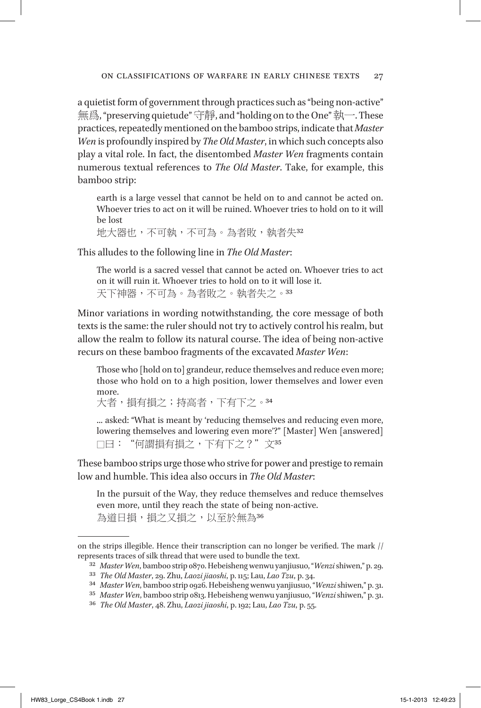a quietist form of government through practices such as "being non-active" 無爲, "preserving quietude" 守靜, and "holding on to the One" 執一. These practices, repeatedly mentioned on the bamboo strips, indicate that *Master Wen* is profoundly inspired by *The Old Master*, in which such concepts also play a vital role. In fact, the disentombed *Master Wen* fragments contain numerous textual references to *The Old Master*. Take, for example, this bamboo strip:

earth is a large vessel that cannot be held on to and cannot be acted on. Whoever tries to act on it will be ruined. Whoever tries to hold on to it will be lost

地大器也,不可執,不可為。為者敗,執者失32

This alludes to the following line in *The Old Master*:

The world is a sacred vessel that cannot be acted on. Whoever tries to act on it will ruin it. Whoever tries to hold on to it will lose it. 天下神器,不可為。為者敗之。執者失之。33

Minor variations in wording notwithstanding, the core message of both texts is the same: the ruler should not try to actively control his realm, but allow the realm to follow its natural course. The idea of being non-active recurs on these bamboo fragments of the excavated *Master Wen*:

Those who [hold on to] grandeur, reduce themselves and reduce even more; those who hold on to a high position, lower themselves and lower even more.

大者,損有損之;持高者,下有下之。34

... asked: "What is meant by 'reducing themselves and reducing even more, lowering themselves and lowering even more'?" [Master] Wen [answered]

□曰:"何謂損有損之,下有下之?"文35

These bamboo strips urge those who strive for power and prestige to remain low and humble. This idea also occurs in *The Old Master*:

In the pursuit of the Way, they reduce themselves and reduce themselves even more, until they reach the state of being non-active.

為道日損,損之又損之,以至於無為36

on the strips illegible. Hence their transcription can no longer be verified. The mark // represents traces of silk thread that were used to bundle the text.

<sup>32</sup> *Master Wen*, bamboo strip 0870. Hebeisheng wenwu yanjiusuo, "*Wenzi* shiwen," p. 29.

<sup>33</sup> *The Old Master*, 29. Zhu, *Laozi jiaoshi*, p. 115; Lau, *Lao Tzu*, p. 34.

<sup>34</sup> *Master Wen*, bamboo strip 0926. Hebeisheng wenwu yanjiusuo, "*Wenzi* shiwen," p. 31.

<sup>35</sup> *Master Wen*, bamboo strip 0813. Hebeisheng wenwu yanjiusuo, "*Wenzi* shiwen," p. 31.

<sup>36</sup> *The Old Master*, 48. Zhu, *Laozi jiaoshi*, p. 192; Lau, *Lao Tzu*, p. 55.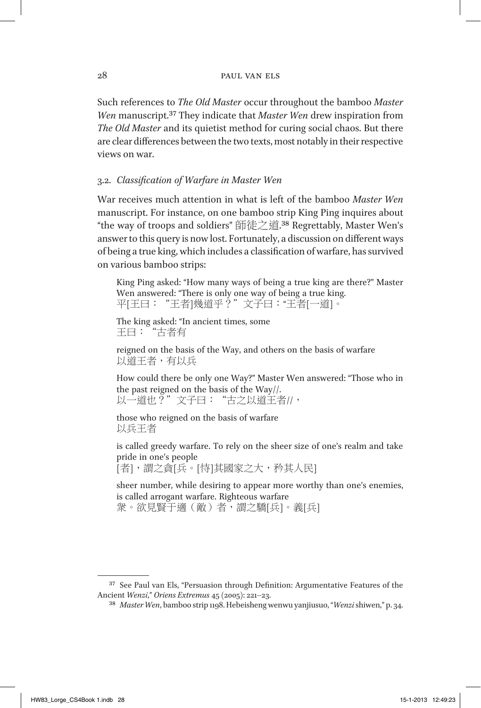Such references to *The Old Master* occur throughout the bamboo *Master Wen* manuscript.37 They indicate that *Master Wen* drew inspiration from *The Old Master* and its quietist method for curing social chaos. But there are clear differences between the two texts, most notably in their respective views on war.

# 3.2. *Classification of Warfare in Master Wen*

War receives much attention in what is left of the bamboo *Master Wen* manuscript. For instance, on one bamboo strip King Ping inquires about "the way of troops and soldiers" 師徒之道.<sup>38</sup> Regrettably, Master Wen's answer to this query is now lost. Fortunately, a discussion on different ways of being a true king, which includes a classification of warfare, has survived on various bamboo strips:

King Ping asked: "How many ways of being a true king are there?" Master Wen answered: "There is only one way of being a true king. 平[王曰:"王者]幾道乎?"文子曰:"王者[一道]。

The king asked: "In ancient times, some 王曰:"古者有

reigned on the basis of the Way, and others on the basis of warfare 以道王者,有以兵

How could there be only one Way?" Master Wen answered: "Those who in the past reigned on the basis of the Way//. 以一道也?"文子曰:"古之以道王者//,

those who reigned on the basis of warfare 以丘王者

is called greedy warfare. To rely on the sheer size of one's realm and take pride in one's people

[者],謂之貪[兵。[恃]其國家之大,矜其人民]

sheer number, while desiring to appear more worthy than one's enemies, is called arrogant warfare. Righteous warfare 衆。欲見賢于適(敵)者,謂之驕[兵]。義[兵]

<sup>37</sup> See Paul van Els, "Persuasion through Definition: Argumentative Features of the Ancient *Wenzi*," *Oriens Extremus* 45 (2005): 221–23.

<sup>38</sup> *Master Wen*, bamboo strip 1198. Hebeisheng wenwu yanjiusuo, "*Wenzi* shiwen," p. 34.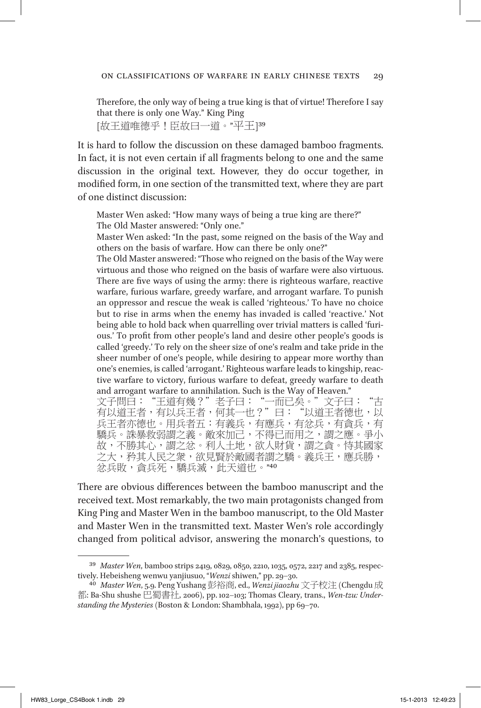Therefore, the only way of being a true king is that of virtue! Therefore I say that there is only one Way." King Ping [故王道唯德乎!臣故曰一道。"平王]39

It is hard to follow the discussion on these damaged bamboo fragments. In fact, it is not even certain if all fragments belong to one and the same discussion in the original text. However, they do occur together, in modified form, in one section of the transmitted text, where they are part of one distinct discussion:

Master Wen asked: "How many ways of being a true king are there?" The Old Master answered: "Only one."

Master Wen asked: "In the past, some reigned on the basis of the Way and others on the basis of warfare. How can there be only one?"

The Old Master answered: "Those who reigned on the basis of the Way were virtuous and those who reigned on the basis of warfare were also virtuous. There are five ways of using the army: there is righteous warfare, reactive warfare, furious warfare, greedy warfare, and arrogant warfare. To punish an oppressor and rescue the weak is called 'righteous.' To have no choice but to rise in arms when the enemy has invaded is called 'reactive.' Not being able to hold back when quarrelling over trivial matters is called 'furious.' To profit from other people's land and desire other people's goods is called 'greedy.' To rely on the sheer size of one's realm and take pride in the sheer number of one's people, while desiring to appear more worthy than one's enemies, is called 'arrogant.' Righteous warfare leads to kingship, reactive warfare to victory, furious warfare to defeat, greedy warfare to death and arrogant warfare to annihilation. Such is the Way of Heaven."

文子問曰:"王道有幾?"老子曰:"一而已矣。"文子曰:"古 有以道王者,有以兵王者,何其一也?"曰: "以道王者德也,以 兵王者亦德也。用兵者五:有義兵,有應兵,有忿兵,有貪兵,有 驕兵。誅暴救弱謂之義。敵來加己,不得已而用之,謂之應。爭小 故,不勝其心,謂之忿。利人土地,欲人財貨,謂之貪。恃其國家 之大,矜其人民之衆,欲見賢於敵國者謂之驕。義兵王,應兵勝, 忿兵敗, 貪兵死, 驕兵滅, 此天道也。"40

There are obvious differences between the bamboo manuscript and the received text. Most remarkably, the two main protagonists changed from King Ping and Master Wen in the bamboo manuscript, to the Old Master and Master Wen in the transmitted text. Master Wen's role accordingly changed from political advisor, answering the monarch's questions, to

<sup>&</sup>lt;sup>39</sup> Master Wen, bamboo strips 2419, 0829, 0850, 2210, 1035, 0572, 2217 and 2385, respectively. Hebeisheng wenwu yanjiusuo, "*Wenzi* shiwen," pp. 29–30.

<sup>&</sup>lt;sup>40</sup> Master Wen, 5.9. Peng Yushang 彭裕商, ed., *Wenzi jiaozhu* 文子校注 (Chengdu 成 悥: Ba-Shu shushe 嚨㚠䣦, 2006), pp. 102–103; Thomas Cleary, trans., *Wen-tzu: Understanding the Mysteries* (Boston & London: Shambhala, 1992), pp 69–70.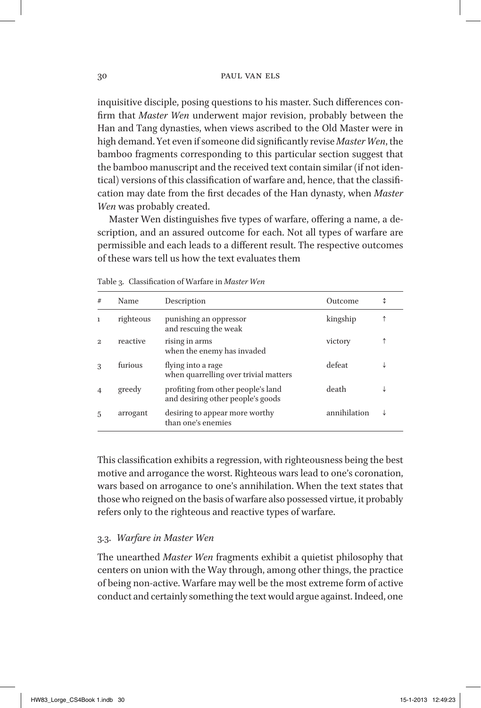inquisitive disciple, posing questions to his master. Such differences confirm that *Master Wen* underwent major revision, probably between the Han and Tang dynasties, when views ascribed to the Old Master were in high demand. Yet even if someone did significantly revise *Master Wen*, the bamboo fragments corresponding to this particular section suggest that the bamboo manuscript and the received text contain similar (if not identical) versions of this classification of warfare and, hence, that the classification may date from the first decades of the Han dynasty, when *Master Wen* was probably created.

Master Wen distinguishes five types of warfare, offering a name, a description, and an assured outcome for each. Not all types of warfare are permissible and each leads to a different result. The respective outcomes of these wars tell us how the text evaluates them

| #              | Name      | Description                                                             | Outcome      | ⇕ |
|----------------|-----------|-------------------------------------------------------------------------|--------------|---|
| 1              | righteous | punishing an oppressor<br>and rescuing the weak                         | kingship     | ↑ |
| $\mathcal{D}$  | reactive  | rising in arms<br>when the enemy has invaded                            | victory      | ↑ |
| 3              | furious   | flying into a rage<br>when quarrelling over trivial matters             | defeat       | ↓ |
| $\overline{4}$ | greedy    | profiting from other people's land<br>and desiring other people's goods | death        | ↓ |
| 5              | arrogant  | desiring to appear more worthy<br>than one's enemies                    | annihilation |   |

Table 3. Classification of Warfare in *Master Wen*

This classification exhibits a regression, with righteousness being the best motive and arrogance the worst. Righteous wars lead to one's coronation, wars based on arrogance to one's annihilation. When the text states that those who reigned on the basis of warfare also possessed virtue, it probably refers only to the righteous and reactive types of warfare.

# 3.3. *Warfare in Master Wen*

The unearthed *Master Wen* fragments exhibit a quietist philosophy that centers on union with the Way through, among other things, the practice of being non-active. Warfare may well be the most extreme form of active conduct and certainly something the text would argue against. Indeed, one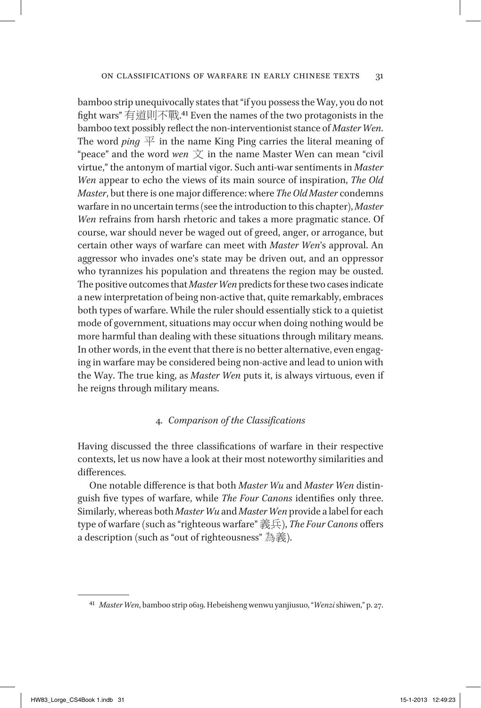bamboo strip unequivocally states that "if you possess the Way, you do not fight wars" 有道則不戰.<sup>41</sup> Even the names of the two protagonists in the bamboo text possibly reflect the non-interventionist stance of *Master Wen*. The word *ping*  $\overline{\Psi}$  in the name King Ping carries the literal meaning of "peace" and the word *wen*  $\overline{\chi}$  in the name Master Wen can mean "civil" virtue," the antonym of martial vigor. Such anti-war sentiments in *Master Wen* appear to echo the views of its main source of inspiration, *The Old Master*, but there is one major difference: where *The Old Master* condemns warfare in no uncertain terms (see the introduction to this chapter), *Master Wen* refrains from harsh rhetoric and takes a more pragmatic stance. Of course, war should never be waged out of greed, anger, or arrogance, but certain other ways of warfare can meet with *Master Wen*'s approval. An aggressor who invades one's state may be driven out, and an oppressor who tyrannizes his population and threatens the region may be ousted. The positive outcomes that *Master Wen* predicts for these two cases indicate a new interpretation of being non-active that, quite remarkably, embraces both types of warfare. While the ruler should essentially stick to a quietist mode of government, situations may occur when doing nothing would be more harmful than dealing with these situations through military means. In other words, in the event that there is no better alternative, even engaging in warfare may be considered being non-active and lead to union with the Way. The true king, as *Master Wen* puts it, is always virtuous, even if he reigns through military means.

# 4. *Comparison of the Classifications*

Having discussed the three classifications of warfare in their respective contexts, let us now have a look at their most noteworthy similarities and differences.

One notable difference is that both *Master Wu* and *Master Wen* distinguish five types of warfare, while *The Four Canons* identifies only three. Similarly, whereas both *Master Wu* and *Master Wen* provide a label for each type of warfare (such as "righteous warfare" 義兵), *The Four Canons* offers a description (such as "out of righteousness" 為義).

<sup>41</sup> *Master Wen*, bamboo strip 0619. Hebeisheng wenwu yanjiusuo, "*Wenzi* shiwen," p. 27.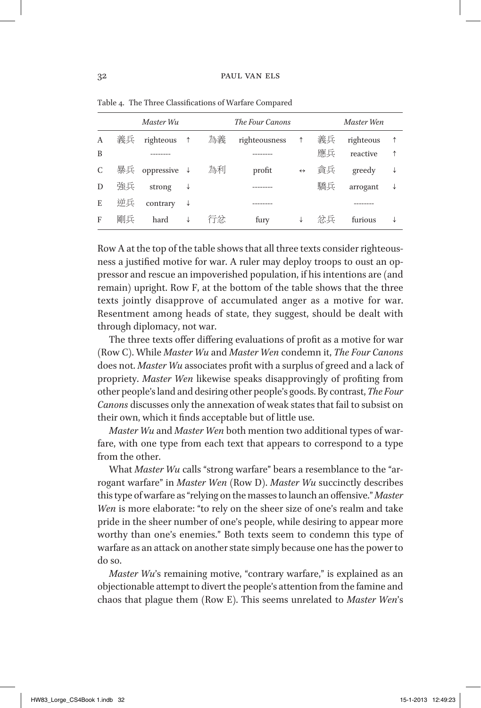|               | Master Wu |                 |            |    | The Four Canons |                   |    | Master Wen |            |  |
|---------------|-----------|-----------------|------------|----|-----------------|-------------------|----|------------|------------|--|
| A             | 義兵        | righteous       | $\uparrow$ | 為義 | righteousness   | ↑                 | 義兵 | righteous  | $\uparrow$ |  |
| B             |           |                 |            |    |                 |                   | 應兵 | reactive   | ↑          |  |
| $\mathcal{C}$ |           | 暴兵 oppressive ↓ |            | 為利 | profit          | $\leftrightarrow$ | 貪兵 | greedy     | ↓          |  |
| D             | 強兵        | strong          | ↓          |    |                 |                   | 驕兵 | arrogant   | ↓          |  |
| E             | 逆兵        | contrary        | ↓          |    |                 |                   |    |            |            |  |
| F             | 剛芒        | hard            | ↓          | 〒忿 | fury            | ↓                 | 忿兵 | furious    |            |  |

Table 4. The Three Classifications of Warfare Compared

Row A at the top of the table shows that all three texts consider righteousness a justified motive for war. A ruler may deploy troops to oust an oppressor and rescue an impoverished population, if his intentions are (and remain) upright. Row F, at the bottom of the table shows that the three texts jointly disapprove of accumulated anger as a motive for war. Resentment among heads of state, they suggest, should be dealt with through diplomacy, not war.

The three texts offer differing evaluations of profit as a motive for war (Row C). While *Master Wu* and *Master Wen* condemn it, *The Four Canons* does not. *Master Wu* associates profit with a surplus of greed and a lack of propriety. *Master Wen* likewise speaks disapprovingly of profiting from other people's land and desiring other people's goods. By contrast, *The Four Canons* discusses only the annexation of weak states that fail to subsist on their own, which it finds acceptable but of little use.

*Master Wu* and *Master Wen* both mention two additional types of warfare, with one type from each text that appears to correspond to a type from the other.

What *Master Wu* calls "strong warfare" bears a resemblance to the "arrogant warfare" in *Master Wen* (Row D). *Master Wu* succinctly describes this type of warfare as "relying on the masses to launch an offensive." *Master Wen* is more elaborate: "to rely on the sheer size of one's realm and take pride in the sheer number of one's people, while desiring to appear more worthy than one's enemies." Both texts seem to condemn this type of warfare as an attack on another state simply because one has the power to do so.

*Master Wu*'s remaining motive, "contrary warfare," is explained as an objectionable attempt to divert the people's attention from the famine and chaos that plague them (Row E). This seems unrelated to *Master Wen*'s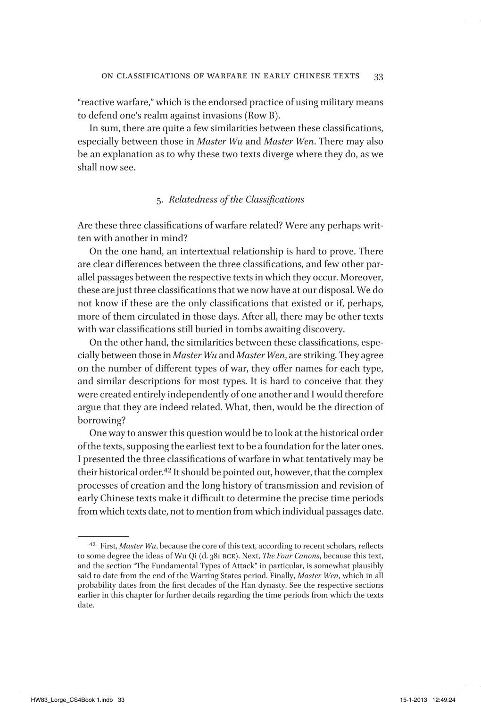"reactive warfare," which is the endorsed practice of using military means to defend one's realm against invasions (Row B).

In sum, there are quite a few similarities between these classifications, especially between those in *Master Wu* and *Master Wen*. There may also be an explanation as to why these two texts diverge where they do, as we shall now see.

# 5. *Relatedness of the Classifications*

Are these three classifications of warfare related? Were any perhaps written with another in mind?

On the one hand, an intertextual relationship is hard to prove. There are clear differences between the three classifications, and few other parallel passages between the respective texts in which they occur. Moreover, these are just three classifications that we now have at our disposal. We do not know if these are the only classifications that existed or if, perhaps, more of them circulated in those days. After all, there may be other texts with war classifications still buried in tombs awaiting discovery.

On the other hand, the similarities between these classifications, especially between those in *Master Wu* and *Master Wen*, are striking. They agree on the number of different types of war, they offer names for each type, and similar descriptions for most types. It is hard to conceive that they were created entirely independently of one another and I would therefore argue that they are indeed related. What, then, would be the direction of borrowing?

One way to answer this question would be to look at the historical order of the texts, supposing the earliest text to be a foundation for the later ones. I presented the three classifications of warfare in what tentatively may be their historical order.42 It should be pointed out, however, that the complex processes of creation and the long history of transmission and revision of early Chinese texts make it difficult to determine the precise time periods from which texts date, not to mention from which individual passages date.

<sup>42</sup> First, *Master Wu*, because the core of this text, according to recent scholars, reflects to some degree the ideas of Wu Qi (d. 381 bce). Next, *The Four Canons*, because this text, and the section "The Fundamental Types of Attack" in particular, is somewhat plausibly said to date from the end of the Warring States period. Finally, *Master Wen*, which in all probability dates from the first decades of the Han dynasty. See the respective sections earlier in this chapter for further details regarding the time periods from which the texts date.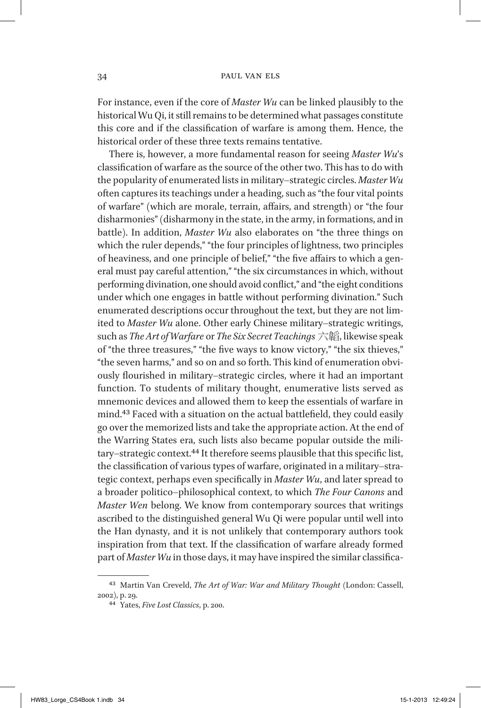For instance, even if the core of *Master Wu* can be linked plausibly to the historical Wu Qi, it still remains to be determined what passages constitute this core and if the classification of warfare is among them. Hence, the historical order of these three texts remains tentative.

There is, however, a more fundamental reason for seeing *Master Wu*'s classification of warfare as the source of the other two. This has to do with the popularity of enumerated lists in military–strategic circles. *Master Wu* often captures its teachings under a heading, such as "the four vital points of warfare" (which are morale, terrain, affairs, and strength) or "the four disharmonies" (disharmony in the state, in the army, in formations, and in battle). In addition, *Master Wu* also elaborates on "the three things on which the ruler depends," "the four principles of lightness, two principles of heaviness, and one principle of belief," "the five affairs to which a general must pay careful attention," "the six circumstances in which, without performing divination, one should avoid conflict," and "the eight conditions under which one engages in battle without performing divination." Such enumerated descriptions occur throughout the text, but they are not limited to *Master Wu* alone. Other early Chinese military–strategic writings, such as *The Art of Warfare* or *The Six Secret Teachings* 六韜, likewise speak of "the three treasures," "the five ways to know victory," "the six thieves," "the seven harms," and so on and so forth. This kind of enumeration obviously flourished in military–strategic circles, where it had an important function. To students of military thought, enumerative lists served as mnemonic devices and allowed them to keep the essentials of warfare in mind.43 Faced with a situation on the actual battlefield, they could easily go over the memorized lists and take the appropriate action. At the end of the Warring States era, such lists also became popular outside the military–strategic context.<sup>44</sup> It therefore seems plausible that this specific list, the classification of various types of warfare, originated in a military–strategic context, perhaps even specifically in *Master Wu*, and later spread to a broader politico–philosophical context, to which *The Four Canons* and *Master Wen* belong. We know from contemporary sources that writings ascribed to the distinguished general Wu Qi were popular until well into the Han dynasty, and it is not unlikely that contemporary authors took inspiration from that text. If the classification of warfare already formed part of *Master Wu* in those days, it may have inspired the similar classifica-

<sup>43</sup> Martin Van Creveld, *The Art of War: War and Military Thought* (London: Cassell, 2002), p. 29.

<sup>44</sup> Yates, *Five Lost Classics*, p. 200.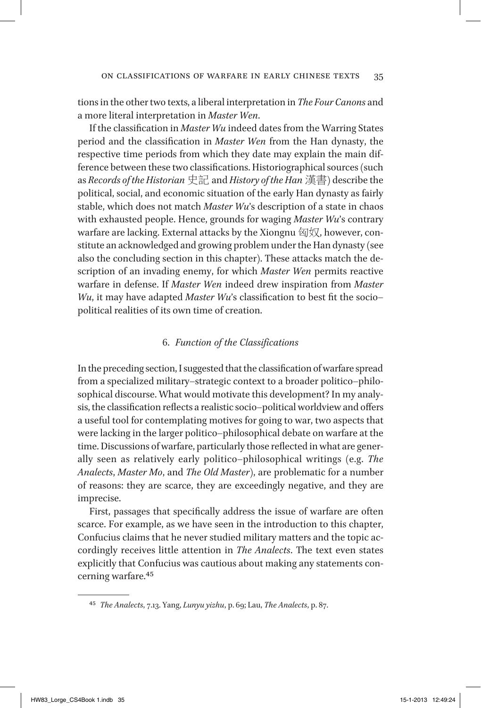tions in the other two texts, a liberal interpretation in *The Four Canons* and a more literal interpretation in *Master Wen*.

If the classification in *Master Wu* indeed dates from the Warring States period and the classification in *Master Wen* from the Han dynasty, the respective time periods from which they date may explain the main difference between these two classifications. Historiographical sources (such as *Records of the Historian*ġ⎚姀ġand *History of the Han*ġ㻊㚠) describe the political, social, and economic situation of the early Han dynasty as fairly stable, which does not match *Master Wu*'s description of a state in chaos with exhausted people. Hence, grounds for waging *Master Wu*'s contrary warfare are lacking. External attacks by the Xiongnu  $\mathfrak{A}\sharp \mathfrak{A}$ , however, constitute an acknowledged and growing problem under the Han dynasty (see also the concluding section in this chapter). These attacks match the description of an invading enemy, for which *Master Wen* permits reactive warfare in defense. If *Master Wen* indeed drew inspiration from *Master Wu*, it may have adapted *Master Wu*'s classification to best fit the socio– political realities of its own time of creation.

## 6. *Function of the Classifications*

In the preceding section, I suggested that the classification of warfare spread from a specialized military–strategic context to a broader politico–philosophical discourse. What would motivate this development? In my analysis, the classification reflects a realistic socio–political worldview and offers a useful tool for contemplating motives for going to war, two aspects that were lacking in the larger politico–philosophical debate on warfare at the time. Discussions of warfare, particularly those reflected in what are generally seen as relatively early politico–philosophical writings (e.g. *The Analects*, *Master Mo*, and *The Old Master*), are problematic for a number of reasons: they are scarce, they are exceedingly negative, and they are imprecise.

First, passages that specifically address the issue of warfare are often scarce. For example, as we have seen in the introduction to this chapter, Confucius claims that he never studied military matters and the topic accordingly receives little attention in *The Analects*. The text even states explicitly that Confucius was cautious about making any statements concerning warfare.45

<sup>45</sup> *The Analects*, 7.13. Yang, *Lunyu yizhu*, p. 69; Lau, *The Analects*, p. 87.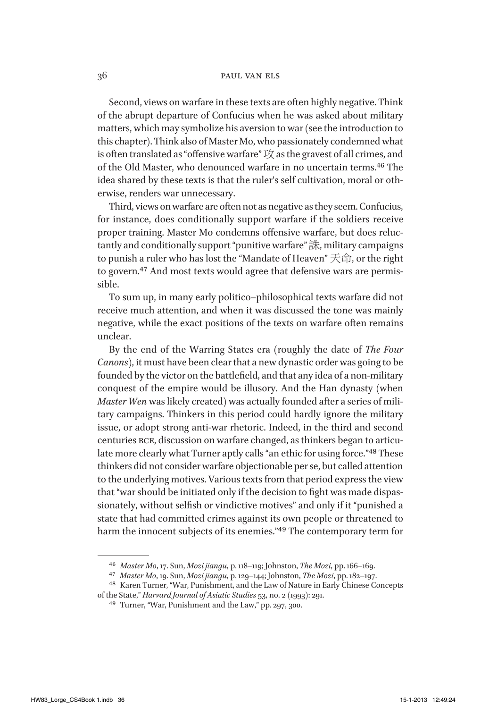Second, views on warfare in these texts are often highly negative. Think of the abrupt departure of Confucius when he was asked about military matters, which may symbolize his aversion to war (see the introduction to this chapter). Think also of Master Mo, who passionately condemned what is often translated as "offensive warfare"  $\dot{\mathcal{A}}$  as the gravest of all crimes, and of the Old Master, who denounced warfare in no uncertain terms.46 The idea shared by these texts is that the ruler's self cultivation, moral or otherwise, renders war unnecessary.

Third, views on warfare are often not as negative as they seem. Confucius, for instance, does conditionally support warfare if the soldiers receive proper training. Master Mo condemns offensive warfare, but does reluctantly and conditionally support "punitive warfare" 誅, military campaigns to punish a ruler who has lost the "Mandate of Heaven"  $\pm$   $\hat{\mathfrak{m}}$ , or the right to govern.47 And most texts would agree that defensive wars are permissible.

To sum up, in many early politico–philosophical texts warfare did not receive much attention, and when it was discussed the tone was mainly negative, while the exact positions of the texts on warfare often remains unclear.

By the end of the Warring States era (roughly the date of *The Four Canons*), it must have been clear that a new dynastic order was going to be founded by the victor on the battlefield, and that any idea of a non-military conquest of the empire would be illusory. And the Han dynasty (when *Master Wen* was likely created) was actually founded after a series of military campaigns. Thinkers in this period could hardly ignore the military issue, or adopt strong anti-war rhetoric. Indeed, in the third and second centuries bce, discussion on warfare changed, as thinkers began to articulate more clearly what Turner aptly calls "an ethic for using force."48 These thinkers did not consider warfare objectionable per se, but called attention to the underlying motives. Various texts from that period express the view that "war should be initiated only if the decision to fight was made dispassionately, without selfish or vindictive motives" and only if it "punished a state that had committed crimes against its own people or threatened to harm the innocent subjects of its enemies."<sup>49</sup> The contemporary term for

<sup>46</sup> *Master Mo*, 17. Sun, *Mozi jiangu*, p. 118–119; Johnston, *The Mozi*, pp. 166–169.

<sup>47</sup> *Master Mo*, 19. Sun, *Mozi jiangu*, p. 129–144; Johnston, *The Mozi*, pp. 182–197.

<sup>48</sup> Karen Turner, "War, Punishment, and the Law of Nature in Early Chinese Concepts of the State," *Harvard Journal of Asiatic Studies* 53, no. 2 (1993): 291.

<sup>49</sup> Turner, "War, Punishment and the Law," pp. 297, 300.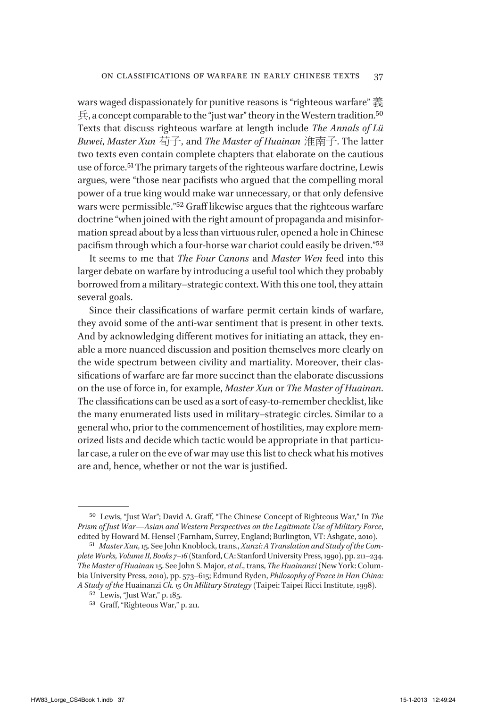wars waged dispassionately for punitive reasons is "righteous warfare" 義  $\lesssim$ , a concept comparable to the "just war" theory in the Western tradition.<sup>50</sup> Texts that discuss righteous warfare at length include *The Annals of Lü Buwei, Master Xun 荀子, and The Master of Huainan* 淮南子. The latter two texts even contain complete chapters that elaborate on the cautious use of force.51 The primary targets of the righteous warfare doctrine, Lewis argues, were "those near pacifists who argued that the compelling moral power of a true king would make war unnecessary, or that only defensive wars were permissible."52 Graff likewise argues that the righteous warfare doctrine "when joined with the right amount of propaganda and misinformation spread about by a less than virtuous ruler, opened a hole in Chinese pacifism through which a four-horse war chariot could easily be driven."53

It seems to me that *The Four Canons* and *Master Wen* feed into this larger debate on warfare by introducing a useful tool which they probably borrowed from a military–strategic context. With this one tool, they attain several goals.

Since their classifications of warfare permit certain kinds of warfare, they avoid some of the anti-war sentiment that is present in other texts. And by acknowledging different motives for initiating an attack, they enable a more nuanced discussion and position themselves more clearly on the wide spectrum between civility and martiality. Moreover, their classifications of warfare are far more succinct than the elaborate discussions on the use of force in, for example, *Master Xun* or *The Master of Huainan*. The classifications can be used as a sort of easy-to-remember checklist, like the many enumerated lists used in military–strategic circles. Similar to a general who, prior to the commencement of hostilities, may explore memorized lists and decide which tactic would be appropriate in that particular case, a ruler on the eve of war may use this list to check what his motives are and, hence, whether or not the war is justified.

<sup>50</sup> Lewis, "Just War"; David A. Graff, "The Chinese Concept of Righteous War," In *The Prism of Just War—Asian and Western Perspectives on the Legitimate Use of Military Force*, edited by Howard M. Hensel (Farnham, Surrey, England; Burlington, VT: Ashgate, 2010).

<sup>51</sup> *Master Xun*, 15. See John Knoblock, trans., *Xunzi: A Translation and Study of the Complete Works, Volume II, Books 7–16* (Stanford, CA: Stanford University Press, 1990), pp. 211–234. *The Master of Huainan* 15. See John S. Major, *et al*., trans, *The Huainanzi* (New York: Columbia University Press, 2010), pp. 573–615; Edmund Ryden, *Philosophy of Peace in Han China: A Study of the* Huainanzi *Ch. 15 On Military Strategy* (Taipei: Taipei Ricci Institute, 1998).

<sup>52</sup> Lewis, "Just War," p. 185.

<sup>53</sup> Graff, "Righteous War," p. 211.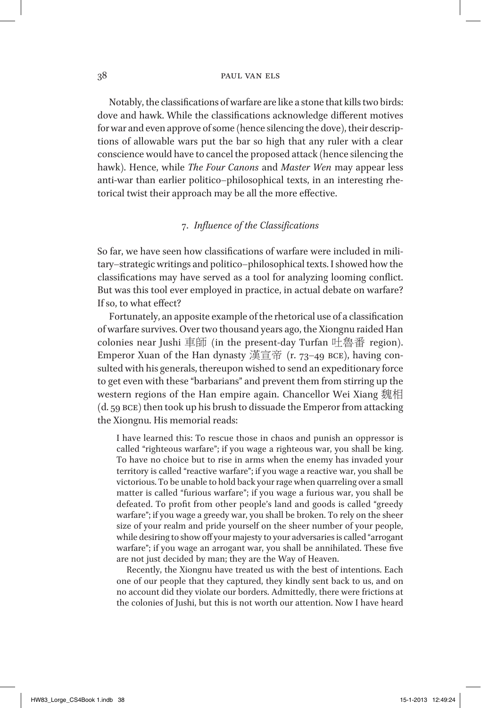Notably, the classifications of warfare are like a stone that kills two birds: dove and hawk. While the classifications acknowledge different motives for war and even approve of some (hence silencing the dove), their descriptions of allowable wars put the bar so high that any ruler with a clear conscience would have to cancel the proposed attack (hence silencing the hawk). Hence, while *The Four Canons* and *Master Wen* may appear less anti-war than earlier politico–philosophical texts, in an interesting rhetorical twist their approach may be all the more effective.

# 7. *Influence of the Classifications*

So far, we have seen how classifications of warfare were included in military–strategic writings and politico–philosophical texts. I showed how the classifications may have served as a tool for analyzing looming conflict. But was this tool ever employed in practice, in actual debate on warfare? If so, to what effect?

Fortunately, an apposite example of the rhetorical use of a classification of warfare survives. Over two thousand years ago, the Xiongnu raided Han colonies near Jushi 車師 (in the present-day Turfan 吐魯番 region). Emperor Xuan of the Han dynasty 漢宣帝 (r. 73–49 BCE), having consulted with his generals, thereupon wished to send an expeditionary force to get even with these "barbarians" and prevent them from stirring up the western regions of the Han empire again. Chancellor Wei Xiang 魏相 (d. 59 bce) then took up his brush to dissuade the Emperor from attacking the Xiongnu. His memorial reads:

I have learned this: To rescue those in chaos and punish an oppressor is called "righteous warfare"; if you wage a righteous war, you shall be king. To have no choice but to rise in arms when the enemy has invaded your territory is called "reactive warfare"; if you wage a reactive war, you shall be victorious. To be unable to hold back your rage when quarreling over a small matter is called "furious warfare"; if you wage a furious war, you shall be defeated. To profit from other people's land and goods is called "greedy warfare"; if you wage a greedy war, you shall be broken. To rely on the sheer size of your realm and pride yourself on the sheer number of your people, while desiring to show off your majesty to your adversaries is called "arrogant warfare"; if you wage an arrogant war, you shall be annihilated. These five are not just decided by man; they are the Way of Heaven.

Recently, the Xiongnu have treated us with the best of intentions. Each one of our people that they captured, they kindly sent back to us, and on no account did they violate our borders. Admittedly, there were frictions at the colonies of Jushi, but this is not worth our attention. Now I have heard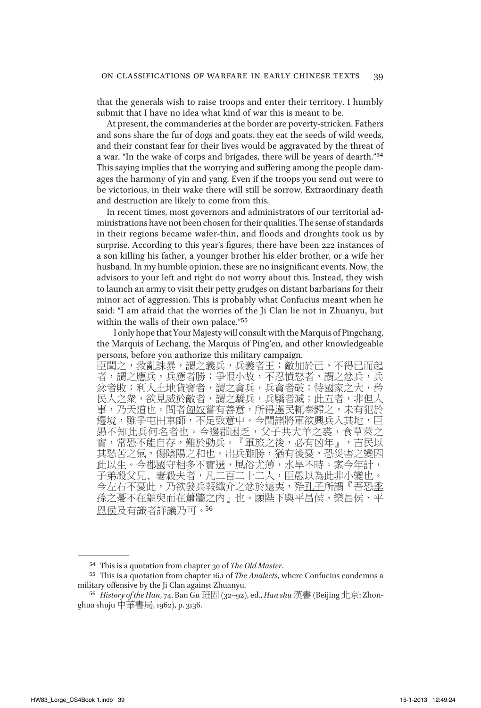that the generals wish to raise troops and enter their territory. I humbly submit that I have no idea what kind of war this is meant to be.

At present, the commanderies at the border are poverty-stricken. Fathers and sons share the fur of dogs and goats, they eat the seeds of wild weeds, and their constant fear for their lives would be aggravated by the threat of a war. "In the wake of corps and brigades, there will be years of dearth."54 This saying implies that the worrying and suffering among the people damages the harmony of yin and yang. Even if the troops you send out were to be victorious, in their wake there will still be sorrow. Extraordinary death and destruction are likely to come from this.

In recent times, most governors and administrators of our territorial administrations have not been chosen for their qualities. The sense of standards in their regions became wafer-thin, and floods and droughts took us by surprise. According to this year's figures, there have been 222 instances of a son killing his father, a younger brother his elder brother, or a wife her husband. In my humble opinion, these are no insignificant events. Now, the advisors to your left and right do not worry about this. Instead, they wish to launch an army to visit their petty grudges on distant barbarians for their minor act of aggression. This is probably what Confucius meant when he said: "I am afraid that the worries of the Ji Clan lie not in Zhuanyu, but within the walls of their own palace."<sup>55</sup>

 I only hope that Your Majesty will consult with the Marquis of Pingchang, the Marquis of Lechang, the Marquis of Ping'en, and other knowledgeable persons, before you authorize this military campaign.

臣聞之,救亂誅暴,謂之義兵,兵義者王;敵加於己,不得已而起 者,謂之應兵,兵應者勝;爭恨小故,不忍憤怒者,謂之忿兵,兵 忿者敗;利人土地貨寶者,謂之貪兵,兵貪者破;恃國家之大,矜 民人之衆,欲見威於敵者,謂之驕兵,兵驕者滅;此五者,非但人 事,乃天道也。間者匈奴嘗有善意,所得漢民輒奉歸之,未有犯於 邊境,雖爭屯田車師,不足致意中。今聞諸將軍欲興兵入其地,臣 愚不知此兵何名者也。今邊郡困乏,父子共犬羊之裘,食草萊之<br>實,常恐不能自存,難於動兵。『軍旅之後,必有凶年』,言民以 實,常恐不能自存,難於動兵。『軍旅之後,必有凶年』,言民以 其愁苦之氣,傷陰陽之和也。出兵雖勝,猶有後憂,恐災害之變因 此以生。今郡國守相多不實選,風俗尤薄,水旱不時。案今年計 子弟殺父兄、妻殺夫者,凡二百二十二人,臣愚以為此非小變也。 今左右不憂此,乃欲發兵報纖介之忿於遠夷,殆孔子所謂『吾恐季 孫之憂不在顓臾而在蕭牆之內』也。願陛下與平昌侯、<u>樂昌侯、平</u> 恩侯及有識者詳議乃可。56

<sup>54</sup> This is a quotation from chapter 30 of *The Old Master*.

<sup>55</sup> This is a quotation from chapter 16.1 of *The Analects*, where Confucius condemns a military offensive by the Ji Clan against Zhuanyu.

<sup>&</sup>lt;sup>56</sup> History of the Han, 74. Ban Gu 班固 (32−92), ed., *Han shu* 漢書 (Beijing 北京: Zhonghua shuju 中華書局, 1962), p. 3136.